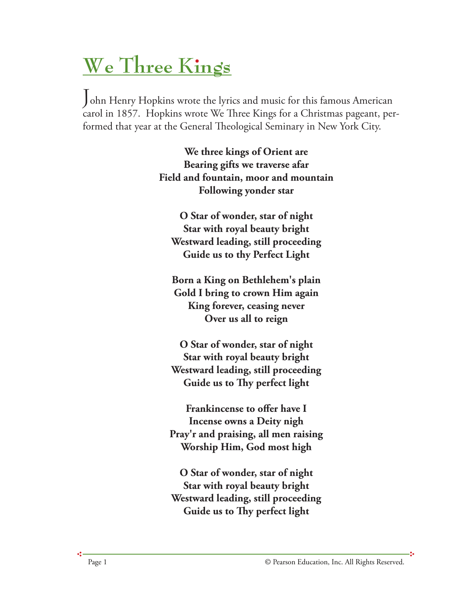## **We Three Kings**

John Henry Hopkins wrote the lyrics and music for this famous American carol in 1857. Hopkins wrote We Three Kings for a Christmas pageant, performed that year at the General Theological Seminary in New York City.

> **We three kings of Orient are Bearing gifts we traverse afar Field and fountain, moor and mountain Following yonder star**

**O Star of wonder, star of night Star with royal beauty bright Westward leading, still proceeding Guide us to thy Perfect Light**

**Born a King on Bethlehem's plain Gold I bring to crown Him again King forever, ceasing never Over us all to reign**

**O Star of wonder, star of night Star with royal beauty bright Westward leading, still proceeding Guide us to Thy perfect light** 

**Frankincense to offer have I Incense owns a Deity nigh Pray'r and praising, all men raising Worship Him, God most high**

**O Star of wonder, star of night Star with royal beauty bright Westward leading, still proceeding Guide us to Thy perfect light** 

ė.